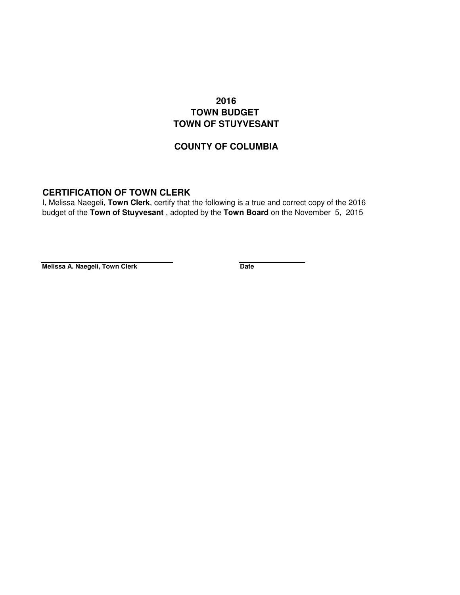## **2016 TOWN BUDGET TOWN OF STUYVESANT**

## **COUNTY OF COLUMBIA**

## **CERTIFICATION OF TOWN CLERK**

I, Melissa Naegeli, **Town Clerk**, certify that the following is a true and correct copy of the 2016 budget of the **Town of Stuyvesant** , adopted by the **Town Board** on the November 5, 2015

**Melissa A. Naegeli, Town Clerk Date**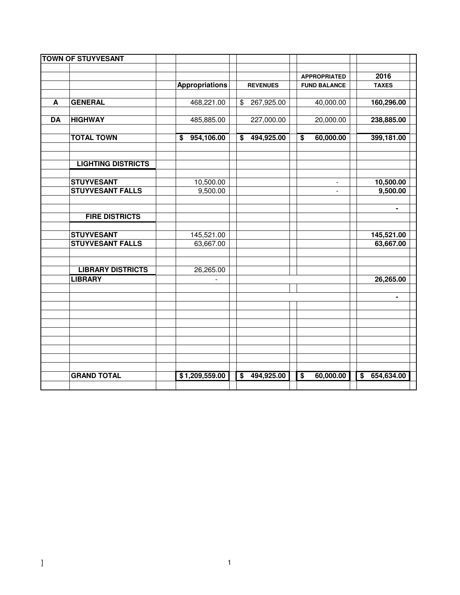|           | <b>TOWN OF STUYVESANT</b> |                       |                                       |                              |                               |
|-----------|---------------------------|-----------------------|---------------------------------------|------------------------------|-------------------------------|
|           |                           |                       |                                       |                              | 2016                          |
|           |                           |                       |                                       | <b>APPROPRIATED</b>          | <b>TAXES</b>                  |
|           |                           | <b>Appropriations</b> | <b>REVENUES</b>                       | <b>FUND BALANCE</b>          |                               |
| A         | <b>GENERAL</b>            | 468,221.00            | 267,925.00<br>$\frac{1}{2}$           | 40,000.00                    | 160,296.00                    |
|           |                           |                       |                                       |                              |                               |
| <b>DA</b> | <b>HIGHWAY</b>            | 485,885.00            | 227,000.00                            | 20,000.00                    | 238,885.00                    |
|           |                           |                       |                                       |                              |                               |
|           | <b>TOTAL TOWN</b>         | 954,106.00<br>\$      | 494,925.00<br>$\overline{\mathbf{s}}$ | 60,000.00<br>$\overline{\$}$ | 399,181.00                    |
|           |                           |                       |                                       |                              |                               |
|           |                           |                       |                                       |                              |                               |
|           | <b>LIGHTING DISTRICTS</b> |                       |                                       |                              |                               |
|           | <b>STUYVESANT</b>         | 10,500.00             |                                       |                              | 10,500.00                     |
|           | <b>STUYVESANT FALLS</b>   | 9,500.00              |                                       |                              | 9,500.00                      |
|           |                           |                       |                                       |                              |                               |
|           |                           |                       |                                       |                              | ٠                             |
|           | <b>FIRE DISTRICTS</b>     |                       |                                       |                              |                               |
|           |                           |                       |                                       |                              |                               |
|           | <b>STUYVESANT</b>         | 145,521.00            |                                       |                              | 145,521.00                    |
|           | <b>STUYVESANT FALLS</b>   | 63,667.00             |                                       |                              | 63,667.00                     |
|           |                           |                       |                                       |                              |                               |
|           |                           |                       |                                       |                              |                               |
|           | <b>LIBRARY DISTRICTS</b>  | 26,265.00             |                                       |                              |                               |
|           | <b>LIBRARY</b>            |                       |                                       |                              | 26,265.00                     |
|           |                           |                       |                                       |                              |                               |
|           |                           |                       |                                       |                              | ٠                             |
|           |                           |                       |                                       |                              |                               |
|           |                           |                       |                                       |                              |                               |
|           |                           |                       |                                       |                              |                               |
|           |                           |                       |                                       |                              |                               |
|           |                           |                       |                                       |                              |                               |
|           |                           |                       |                                       |                              |                               |
|           |                           |                       |                                       |                              |                               |
|           | <b>GRAND TOTAL</b>        | \$1,209,559.00        | $\overline{\mathbf{s}}$<br>494,925.00 | 60,000.00<br>$\overline{\$}$ | 654,634.00<br>$\overline{\$}$ |
|           |                           |                       |                                       |                              |                               |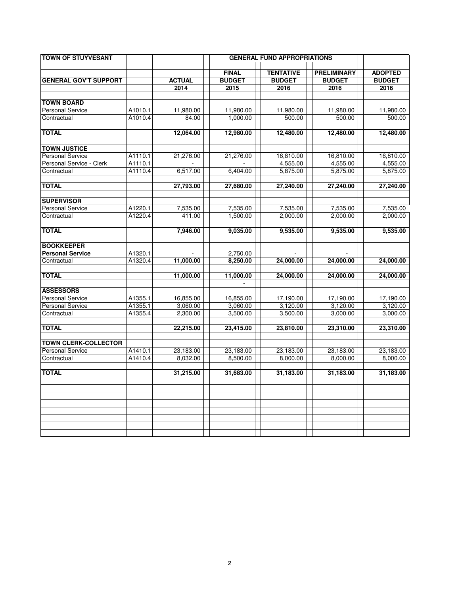| <b>TOWN OF STUYVESANT</b>    |         |               |               | <b>GENERAL FUND APPROPRIATIONS</b> |                    |                |
|------------------------------|---------|---------------|---------------|------------------------------------|--------------------|----------------|
|                              |         |               |               |                                    |                    |                |
|                              |         |               | <b>FINAL</b>  | <b>TENTATIVE</b>                   | <b>PRELIMINARY</b> | <b>ADOPTED</b> |
| <b>GENERAL GOV'T SUPPORT</b> |         | <b>ACTUAL</b> | <b>BUDGET</b> | <b>BUDGET</b>                      | <b>BUDGET</b>      | <b>BUDGET</b>  |
|                              |         | 2014          | 2015          | 2016                               | 2016               | 2016           |
| <b>TOWN BOARD</b>            |         |               |               |                                    |                    |                |
| <b>Personal Service</b>      | A1010.1 | 11,980.00     | 11,980.00     | 11,980.00                          | 11,980.00          | 11,980.00      |
| Contractual                  | A1010.4 | 84.00         | 1.000.00      | 500.00                             | 500.00             | 500.00         |
|                              |         |               |               |                                    |                    |                |
| <b>TOTAL</b>                 |         | 12,064.00     | 12,980.00     | 12,480.00                          | 12,480.00          | 12,480.00      |
|                              |         |               |               |                                    |                    |                |
| <b>TOWN JUSTICE</b>          |         |               |               |                                    |                    |                |
| <b>Personal Service</b>      | A1110.1 | 21,276.00     | 21,276.00     | 16,810.00                          | 16,810.00          | 16,810.00      |
| Personal Service - Clerk     | A1110.1 |               |               | 4,555.00                           | 4,555.00           | 4,555.00       |
| Contractual                  | A1110.4 | 6,517.00      | 6,404.00      | 5,875.00                           | 5,875.00           | 5,875.00       |
|                              |         |               |               |                                    |                    |                |
| <b>TOTAL</b>                 |         | 27,793.00     | 27,680.00     | 27,240.00                          | 27,240.00          | 27,240.00      |
| <b>SUPERVISOR</b>            |         |               |               |                                    |                    |                |
| <b>Personal Service</b>      | A1220.1 | 7,535.00      | 7,535.00      | 7,535.00                           | 7,535.00           | 7,535.00       |
| Contractual                  | A1220.4 | 411.00        | 1,500.00      | 2.000.00                           | 2,000.00           | 2,000.00       |
|                              |         |               |               |                                    |                    |                |
| <b>TOTAL</b>                 |         | 7,946.00      | 9,035.00      | 9,535.00                           | 9,535.00           | 9,535.00       |
|                              |         |               |               |                                    |                    |                |
| <b>BOOKKEEPER</b>            |         |               |               |                                    |                    |                |
| <b>Personal Service</b>      | A1320.1 |               | 2.750.00      |                                    |                    |                |
| Contractual                  | A1320.4 | 11,000.00     | 8.250.00      | 24,000.00                          | 24,000.00          | 24,000.00      |
| <b>TOTAL</b>                 |         |               |               | 24,000.00                          | 24,000.00          | 24,000.00      |
|                              |         | 11,000.00     | 11,000.00     |                                    |                    |                |
| <b>ASSESSORS</b>             |         |               |               |                                    |                    |                |
| Personal Service             | A1355.1 | 16,855.00     | 16,855.00     | 17,190.00                          | 17,190.00          | 17,190.00      |
| <b>Personal Service</b>      | A1355.1 | 3.060.00      | 3.060.00      | 3.120.00                           | 3.120.00           | 3.120.00       |
| Contractual                  | A1355.4 | 2,300.00      | 3,500.00      | 3,500.00                           | 3,000.00           | 3,000.00       |
|                              |         |               |               |                                    |                    |                |
| <b>TOTAL</b>                 |         | 22,215.00     | 23,415.00     | 23,810.00                          | 23,310.00          | 23,310.00      |
|                              |         |               |               |                                    |                    |                |
| <b>TOWN CLERK-COLLECTOR</b>  |         |               |               |                                    |                    |                |
| <b>Personal Service</b>      | A1410.1 | 23,183.00     | 23,183.00     | 23,183.00                          | 23,183.00          | 23,183.00      |
| Contractual                  | A1410.4 | 8,032.00      | 8,500.00      | 8,000.00                           | 8,000.00           | 8,000.00       |
| <b>TOTAL</b>                 |         | 31,215.00     | 31,683.00     | 31,183.00                          | 31,183.00          | 31,183.00      |
|                              |         |               |               |                                    |                    |                |
|                              |         |               |               |                                    |                    |                |
|                              |         |               |               |                                    |                    |                |
|                              |         |               |               |                                    |                    |                |
|                              |         |               |               |                                    |                    |                |
|                              |         |               |               |                                    |                    |                |
|                              |         |               |               |                                    |                    |                |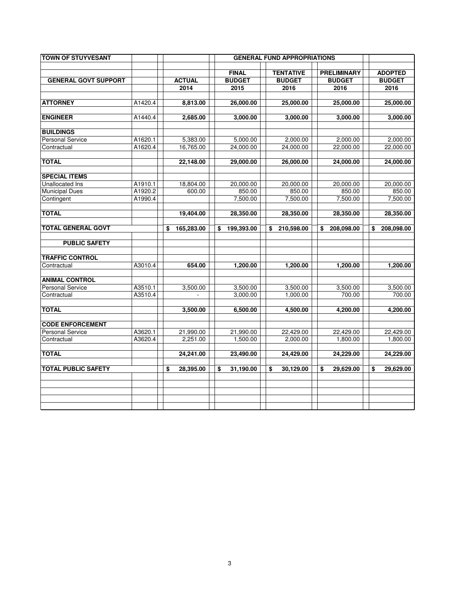| <b>TOWN OF STUYVESANT</b>   |         |                       |                                       | <b>GENERAL FUND APPROPRIATIONS</b>        |                                             |                                         |
|-----------------------------|---------|-----------------------|---------------------------------------|-------------------------------------------|---------------------------------------------|-----------------------------------------|
| <b>GENERAL GOVT SUPPORT</b> |         | <b>ACTUAL</b><br>2014 | <b>FINAL</b><br><b>BUDGET</b><br>2015 | <b>TENTATIVE</b><br><b>BUDGET</b><br>2016 | <b>PRELIMINARY</b><br><b>BUDGET</b><br>2016 | <b>ADOPTED</b><br><b>BUDGET</b><br>2016 |
| <b>ATTORNEY</b>             | A1420.4 | 8,813.00              | 26,000.00                             | 25,000.00                                 | 25,000.00                                   | 25,000.00                               |
| <b>ENGINEER</b>             | A1440.4 | 2,685.00              | 3,000.00                              | 3,000.00                                  | 3,000.00                                    | 3,000.00                                |
| <b>BUILDINGS</b>            |         |                       |                                       |                                           |                                             |                                         |
| <b>Personal Service</b>     | A1620.1 | 5,383.00              | 5,000.00                              | 2,000.00                                  | 2,000.00                                    | 2,000.00                                |
| Contractual                 | A1620.4 | 16,765.00             | 24,000.00                             | 24,000.00                                 | 22,000.00                                   | 22,000.00                               |
| <b>TOTAL</b>                |         | 22,148.00             | 29,000.00                             | 26,000.00                                 | 24,000.00                                   | 24,000.00                               |
| <b>SPECIAL ITEMS</b>        |         |                       |                                       |                                           |                                             |                                         |
| Unallocated Ins             | A1910.1 | 18,804.00             | 20,000.00                             | 20,000.00                                 | 20,000.00                                   | 20,000.00                               |
| <b>Municipal Dues</b>       | A1920.2 | 600.00                | 850.00                                | 850.00                                    | 850.00                                      | 850.00                                  |
| Contingent                  | A1990.4 |                       | 7,500.00                              | 7,500.00                                  | 7,500.00                                    | 7,500.00                                |
| <b>TOTAL</b>                |         | 19,404.00             | 28,350.00                             | 28,350.00                                 | 28,350.00                                   | 28,350.00                               |
| <b>TOTAL GENERAL GOVT</b>   |         | 165,283.00<br>\$      | 199,393.00<br>\$                      | 210,598.00<br>\$                          | \$<br>208,098.00                            | 208,098.00<br>\$                        |
| <b>PUBLIC SAFETY</b>        |         |                       |                                       |                                           |                                             |                                         |
| <b>TRAFFIC CONTROL</b>      |         |                       |                                       |                                           |                                             |                                         |
| Contractual                 | A3010.4 | 654.00                | 1.200.00                              | 1.200.00                                  | 1.200.00                                    | 1.200.00                                |
| <b>ANIMAL CONTROL</b>       |         |                       |                                       |                                           |                                             |                                         |
| <b>Personal Service</b>     | A3510.1 | 3,500.00              | 3,500.00                              | 3,500.00                                  | 3,500.00                                    | 3,500.00                                |
| Contractual                 | A3510.4 |                       | 3,000.00                              | 1,000.00                                  | 700.00                                      | 700.00                                  |
| <b>TOTAL</b>                |         | 3,500.00              | 6,500.00                              | 4,500.00                                  | 4,200.00                                    | 4,200.00                                |
| <b>CODE ENFORCEMENT</b>     |         |                       |                                       |                                           |                                             |                                         |
| <b>Personal Service</b>     | A3620.1 | 21,990.00             | 21,990.00                             | 22,429.00                                 | 22,429.00                                   | 22,429.00                               |
| Contractual                 | A3620.4 | 2,251.00              | 1,500.00                              | 2,000.00                                  | 1,800.00                                    | 1,800.00                                |
| <b>TOTAL</b>                |         | 24,241.00             | 23,490.00                             | 24,429.00                                 | 24,229.00                                   | 24,229.00                               |
| <b>TOTAL PUBLIC SAFETY</b>  |         | \$<br>28,395.00       | \$<br>31,190.00                       | \$<br>30,129.00                           | \$<br>29,629.00                             | \$<br>29,629.00                         |
|                             |         |                       |                                       |                                           |                                             |                                         |
|                             |         |                       |                                       |                                           |                                             |                                         |
|                             |         |                       |                                       |                                           |                                             |                                         |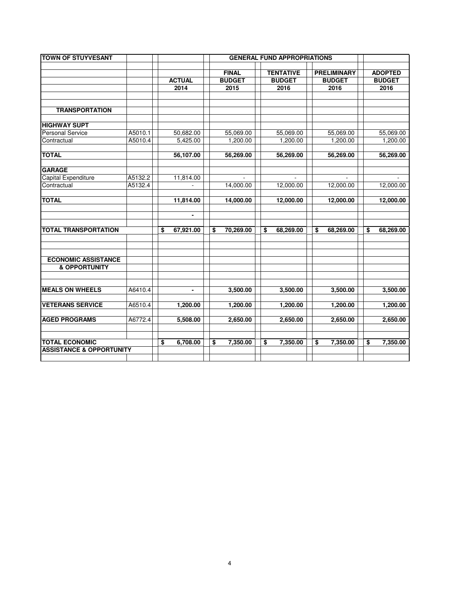| <b>TOWN OF STUYVESANT</b>           |         |                 |                 |                  |                    |                 |
|-------------------------------------|---------|-----------------|-----------------|------------------|--------------------|-----------------|
|                                     |         |                 |                 |                  |                    |                 |
|                                     |         |                 | <b>FINAL</b>    | <b>TENTATIVE</b> | <b>PRELIMINARY</b> | <b>ADOPTED</b>  |
|                                     |         | <b>ACTUAL</b>   | <b>BUDGET</b>   | <b>BUDGET</b>    | <b>BUDGET</b>      | <b>BUDGET</b>   |
|                                     |         | 2014            | 2015            | 2016             | 2016               | 2016            |
|                                     |         |                 |                 |                  |                    |                 |
|                                     |         |                 |                 |                  |                    |                 |
| <b>TRANSPORTATION</b>               |         |                 |                 |                  |                    |                 |
|                                     |         |                 |                 |                  |                    |                 |
| <b>HIGHWAY SUPT</b>                 |         |                 |                 |                  |                    |                 |
| <b>Personal Service</b>             | A5010.1 | 50,682.00       | 55,069.00       | 55,069.00        | 55,069.00          | 55,069.00       |
| Contractual                         | A5010.4 | 5,425.00        | 1,200.00        | 1,200.00         | 1,200.00           | 1,200.00        |
|                                     |         |                 |                 |                  |                    |                 |
| <b>TOTAL</b>                        |         | 56,107.00       | 56,269.00       | 56,269.00        | 56,269.00          | 56,269.00       |
| <b>GARAGE</b>                       |         |                 |                 |                  |                    |                 |
| Capital Expenditure                 | A5132.2 | 11,814.00       |                 |                  |                    |                 |
| Contractual                         | A5132.4 | ÷.              | 14,000.00       | 12,000.00        | 12,000.00          | 12,000.00       |
|                                     |         |                 |                 |                  |                    |                 |
| <b>TOTAL</b>                        |         | 11,814.00       | 14,000.00       | 12,000.00        | 12,000.00          | 12,000.00       |
|                                     |         |                 |                 |                  |                    |                 |
|                                     |         | $\blacksquare$  |                 |                  |                    |                 |
|                                     |         |                 |                 |                  |                    |                 |
| <b>TOTAL TRANSPORTATION</b>         |         | \$<br>67,921.00 | \$<br>70,269.00 | \$<br>68,269.00  | \$<br>68,269.00    | \$<br>68,269.00 |
|                                     |         |                 |                 |                  |                    |                 |
|                                     |         |                 |                 |                  |                    |                 |
|                                     |         |                 |                 |                  |                    |                 |
| <b>ECONOMIC ASSISTANCE</b>          |         |                 |                 |                  |                    |                 |
| <b>&amp; OPPORTUNITY</b>            |         |                 |                 |                  |                    |                 |
|                                     |         |                 |                 |                  |                    |                 |
|                                     |         |                 |                 |                  |                    |                 |
| <b>MEALS ON WHEELS</b>              | A6410.4 | $\blacksquare$  | 3,500.00        | 3,500.00         | 3,500.00           | 3,500.00        |
|                                     |         |                 |                 |                  |                    |                 |
| <b>VETERANS SERVICE</b>             | A6510.4 | 1,200.00        | 1,200.00        | 1,200.00         | 1,200.00           | 1,200.00        |
|                                     |         |                 |                 |                  |                    |                 |
| <b>AGED PROGRAMS</b>                | A6772.4 | 5,508.00        | 2,650.00        | 2,650.00         | 2,650.00           | 2,650.00        |
|                                     |         |                 |                 |                  |                    |                 |
|                                     |         |                 |                 |                  |                    |                 |
| <b>TOTAL ECONOMIC</b>               |         | \$<br>6,708.00  | \$<br>7,350.00  | \$<br>7,350.00   | \$<br>7,350.00     | \$<br>7,350.00  |
| <b>ASSISTANCE &amp; OPPORTUNITY</b> |         |                 |                 |                  |                    |                 |
|                                     |         |                 |                 |                  |                    |                 |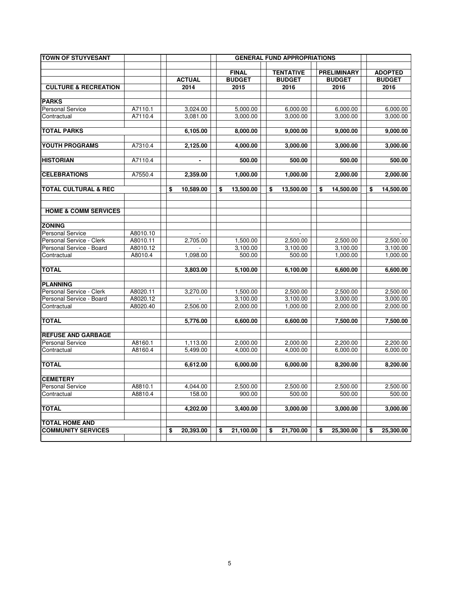| <b>TOWN OF STUYVESANT</b>               |                     |                       |                       | <b>GENERAL FUND APPROPRIATIONS</b> |                    |                       |
|-----------------------------------------|---------------------|-----------------------|-----------------------|------------------------------------|--------------------|-----------------------|
|                                         |                     |                       |                       |                                    |                    |                       |
|                                         |                     |                       | <b>FINAL</b>          | <b>TENTATIVE</b>                   | <b>PRELIMINARY</b> | <b>ADOPTED</b>        |
| <b>CULTURE &amp; RECREATION</b>         |                     | <b>ACTUAL</b><br>2014 | <b>BUDGET</b><br>2015 | <b>BUDGET</b>                      | <b>BUDGET</b>      | <b>BUDGET</b><br>2016 |
|                                         |                     |                       |                       | 2016                               | 2016               |                       |
| <b>PARKS</b>                            |                     |                       |                       |                                    |                    |                       |
| <b>Personal Service</b>                 | A7110.1             | 3,024.00              | 5,000.00              | 6,000.00                           | 6,000.00           | 6,000.00              |
| Contractual                             | A7110.4             | 3,081.00              | 3,000.00              | 3,000.00                           | 3,000.00           | 3,000.00              |
|                                         |                     |                       |                       |                                    |                    |                       |
| <b>TOTAL PARKS</b>                      |                     | 6,105.00              | 8,000.00              | 9,000.00                           | 9,000.00           | 9,000.00              |
| YOUTH PROGRAMS                          | A7310.4             | 2,125.00              |                       | 3,000.00                           | 3,000.00           | 3,000.00              |
|                                         |                     |                       | 4,000.00              |                                    |                    |                       |
| <b>HISTORIAN</b>                        | A7110.4             |                       | 500.00                | 500.00                             | 500.00             | 500.00                |
|                                         |                     |                       |                       |                                    |                    |                       |
| <b>CELEBRATIONS</b>                     | A7550.4             | 2,359.00              | 1,000.00              | 1,000.00                           | 2,000.00           | 2,000.00              |
| <b>TOTAL CULTURAL &amp; REC</b>         |                     | \$                    |                       |                                    | 14,500.00          |                       |
|                                         |                     | 10,589.00             | \$<br>13,500.00       | \$<br>13,500.00                    | \$                 | \$<br>14,500.00       |
|                                         |                     |                       |                       |                                    |                    |                       |
| <b>HOME &amp; COMM SERVICES</b>         |                     |                       |                       |                                    |                    |                       |
|                                         |                     |                       |                       |                                    |                    |                       |
| <b>ZONING</b>                           |                     |                       |                       |                                    |                    |                       |
| <b>Personal Service</b>                 | A8010.10            |                       |                       |                                    |                    |                       |
| Personal Service - Clerk                | A8010.11            | 2,705.00              | 1,500.00              | 2,500.00                           | 2,500.00           | 2,500.00              |
| Personal Service - Board<br>Contractual | A8010.12<br>A8010.4 | 1,098.00              | 3,100.00              | 3,100.00                           | 3,100.00           | 3,100.00<br>1,000.00  |
|                                         |                     |                       | 500.00                | 500.00                             | 1,000.00           |                       |
| <b>TOTAL</b>                            |                     | 3,803.00              | 5,100.00              | 6,100.00                           | 6,600.00           | 6,600.00              |
|                                         |                     |                       |                       |                                    |                    |                       |
| <b>PLANNING</b>                         |                     |                       |                       |                                    |                    |                       |
| Personal Service - Clerk                | A8020.11            | 3,270.00              | 1,500.00              | 2,500.00                           | 2,500.00           | 2,500.00              |
| Personal Service - Board                | A8020.12            |                       | 3,100.00              | 3,100.00                           | 3,000.00           | 3,000.00              |
| Contractual                             | A8020.40            | 2,506.00              | 2,000.00              | 1,000.00                           | 2,000.00           | 2,000.00              |
| <b>TOTAL</b>                            |                     | 5,776.00              | 6,600.00              | 6,600.00                           | 7,500.00           | 7,500.00              |
|                                         |                     |                       |                       |                                    |                    |                       |
| <b>REFUSE AND GARBAGE</b>               |                     |                       |                       |                                    |                    |                       |
| <b>Personal Service</b>                 | A8160.1             | 1,113.00              | 2,000.00              | 2,000.00                           | 2,200.00           | 2,200.00              |
| Contractual                             | A8160.4             | 5,499.00              | 4,000.00              | 4,000.00                           | 6,000.00           | 6,000.00              |
| <b>TOTAL</b>                            |                     | 6,612.00              | 6,000.00              | 6,000.00                           | 8,200.00           | 8,200.00              |
|                                         |                     |                       |                       |                                    |                    |                       |
| <b>CEMETERY</b>                         |                     |                       |                       |                                    |                    |                       |
| <b>Personal Service</b>                 | A8810.1             | 4,044.00              | 2,500.00              | 2,500.00                           | 2,500.00           | 2,500.00              |
| Contractual                             | A8810.4             | 158.00                | 900.00                | 500.00                             | 500.00             | 500.00                |
|                                         |                     |                       |                       |                                    |                    |                       |
| <b>TOTAL</b>                            |                     | 4,202.00              | 3,400.00              | 3,000.00                           | 3,000.00           | 3,000.00              |
| <b>TOTAL HOME AND</b>                   |                     |                       |                       |                                    |                    |                       |
| <b>COMMUNITY SERVICES</b>               |                     | \$<br>20,393.00       | \$<br>21,100.00       | \$<br>21,700.00                    | \$<br>25,300.00    | \$<br>25,300.00       |
|                                         |                     |                       |                       |                                    |                    |                       |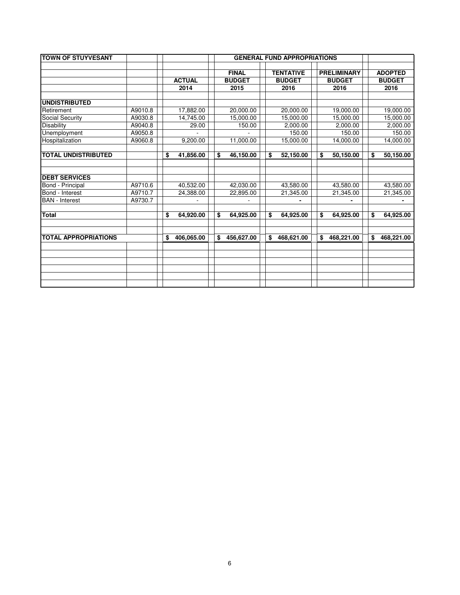| <b>TOWN OF STUYVESANT</b>   |         |                  | <b>GENERAL FUND APPROPRIATIONS</b> |                  |                    |                  |  |  |  |  |  |
|-----------------------------|---------|------------------|------------------------------------|------------------|--------------------|------------------|--|--|--|--|--|
|                             |         |                  | <b>FINAL</b>                       | <b>TENTATIVE</b> | <b>PRELIMINARY</b> | <b>ADOPTED</b>   |  |  |  |  |  |
|                             |         | <b>ACTUAL</b>    | <b>BUDGET</b>                      | <b>BUDGET</b>    | <b>BUDGET</b>      | <b>BUDGET</b>    |  |  |  |  |  |
|                             |         | 2014             | 2015                               | 2016             | 2016               | 2016             |  |  |  |  |  |
| <b>UNDISTRIBUTED</b>        |         |                  |                                    |                  |                    |                  |  |  |  |  |  |
| Retirement                  | A9010.8 | 17,882.00        | 20,000.00                          | 20,000.00        | 19,000.00          | 19,000.00        |  |  |  |  |  |
| Social Security             | A9030.8 | 14.745.00        | 15,000.00                          | 15,000.00        | 15,000.00          | 15,000.00        |  |  |  |  |  |
| Disability                  | A9040.8 | 29.00            | 150.00                             | 2,000.00         | 2,000.00           | 2,000.00         |  |  |  |  |  |
| Unemployment                | A9050.8 |                  |                                    | 150.00           | 150.00             | 150.00           |  |  |  |  |  |
| Hospitalization             | A9060.8 | 9,200.00         | 11,000.00                          | 15,000.00        | 14,000.00          | 14,000.00        |  |  |  |  |  |
| <b>TOTAL UNDISTRIBUTED</b>  |         | 41,856.00<br>\$  | 46,150.00<br>\$                    | \$<br>52,150.00  | \$<br>50,150.00    | 50,150.00<br>\$  |  |  |  |  |  |
| <b>DEBT SERVICES</b>        |         |                  |                                    |                  |                    |                  |  |  |  |  |  |
| Bond - Principal            | A9710.6 | 40,532.00        | 42,030.00                          | 43,580.00        | 43,580.00          | 43,580.00        |  |  |  |  |  |
| Bond - Interest             | A9710.7 | 24,388.00        | 22,895.00                          | 21,345.00        | 21,345.00          | 21,345.00        |  |  |  |  |  |
| <b>BAN</b> - Interest       | A9730.7 |                  |                                    |                  | $\blacksquare$     |                  |  |  |  |  |  |
| Total                       |         | \$<br>64,920.00  | \$<br>64,925.00                    | \$<br>64,925.00  | \$<br>64,925.00    | \$<br>64,925.00  |  |  |  |  |  |
| <b>TOTAL APPROPRIATIONS</b> |         | 406,065.00<br>\$ | \$<br>456,627.00                   | \$<br>468,621.00 | \$<br>468,221.00   | \$<br>468,221.00 |  |  |  |  |  |
|                             |         |                  |                                    |                  |                    |                  |  |  |  |  |  |
|                             |         |                  |                                    |                  |                    |                  |  |  |  |  |  |
|                             |         |                  |                                    |                  |                    |                  |  |  |  |  |  |
|                             |         |                  |                                    |                  |                    |                  |  |  |  |  |  |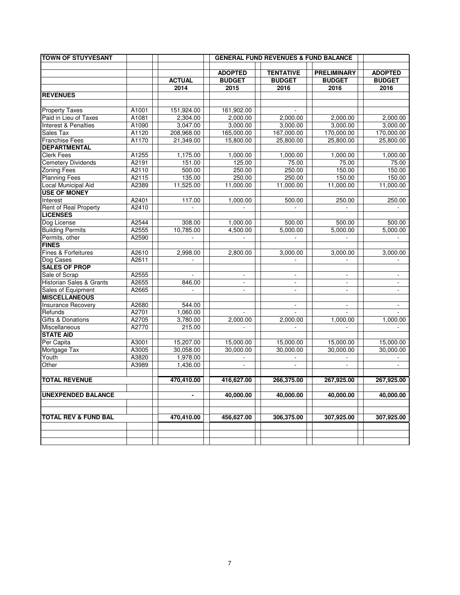| <b>TOWN OF STUYVESANT</b>       |       |               |                             | <b>GENERAL FUND REVENUES &amp; FUND BALANCE</b> |                          |                          |
|---------------------------------|-------|---------------|-----------------------------|-------------------------------------------------|--------------------------|--------------------------|
|                                 |       |               |                             |                                                 |                          |                          |
|                                 |       |               | <b>ADOPTED</b>              | <b>TENTATIVE</b>                                | <b>PRELIMINARY</b>       | <b>ADOPTED</b>           |
|                                 |       | <b>ACTUAL</b> | <b>BUDGET</b>               | <b>BUDGET</b>                                   | <b>BUDGET</b>            | <b>BUDGET</b>            |
|                                 |       | 2014          | 2015                        | 2016                                            | 2016                     | 2016                     |
| <b>REVENUES</b>                 |       |               |                             |                                                 |                          |                          |
| <b>Property Taxes</b>           | A1001 | 151,924.00    | 161,902.00                  |                                                 |                          |                          |
| Paid in Lieu of Taxes           | A1081 | 2,304.00      | 2.000.00                    | 2.000.00                                        | 2,000.00                 | 2,000.00                 |
| Interest & Penalties            | A1090 | 3,047.00      | 3,000.00                    | 3,000.00                                        | 3,000.00                 | 3,000.00                 |
| Sales Tax                       | A1120 | 208,968.00    | 165,000.00                  | 167,000.00                                      | 170,000.00               | 170,000.00               |
| <b>Franchise Fees</b>           | A1170 | 21,349.00     | 15,800.00                   | 25,800.00                                       | 25,800.00                | 25,800.00                |
| <b>DEPARTMENTAL</b>             |       |               |                             |                                                 |                          |                          |
| <b>Clerk Fees</b>               | A1255 | 1,175.00      | 1,000.00                    | 1,000.00                                        | 1,000.00                 | 1,000.00                 |
| <b>Cemetery Dividends</b>       | A2191 | 151.00        | 125.00                      | 75.00                                           | 75.00                    | 75.00                    |
| <b>Zoning Fees</b>              | A2110 | 500.00        | 250.00                      | 250.00                                          | 150.00                   | 150.00                   |
| <b>Planning Fees</b>            | A2115 | 135.00        | 250.00                      | 250.00                                          | 150.00                   | 150.00                   |
| Local Municipal Aid             | A2389 | 11,525.00     | 11,000.00                   | 11,000.00                                       | 11,000.00                | 11,000.00                |
| <b>USE OF MONEY</b>             |       |               |                             |                                                 |                          |                          |
| Interest                        | A2401 | 117.00        | 1,000.00                    | 500.00                                          | 250.00                   | 250.00                   |
| Rent of Real Property           | A2410 | $\omega$      | $\omega$                    | $\omega$                                        | $\blacksquare$           | $\overline{\phantom{a}}$ |
| <b>LICENSES</b>                 |       |               |                             |                                                 |                          |                          |
| Dog License                     | A2544 | 308.00        | 1,000.00                    | 500.00                                          | 500.00                   | 500.00                   |
| <b>Building Permits</b>         | A2555 | 10,785.00     | 4,500.00                    | 5,000.00                                        | 5,000.00                 | 5,000.00                 |
| Permits, other                  | A2590 | $\mathcal{L}$ |                             | $\overline{a}$                                  |                          |                          |
| <b>FINES</b>                    |       |               |                             |                                                 |                          |                          |
| Fines & Forfeitures             | A2610 | 2,998.00      | 2,800.00                    | 3,000.00                                        | 3,000.00                 | 3,000.00                 |
| Dog Cases                       | A2611 | $\omega$      |                             | $\mathcal{L}$                                   | $\overline{a}$           | $\blacksquare$           |
| <b>SALES OF PROP</b>            |       |               |                             |                                                 |                          |                          |
| Sale of Scrap                   | A2555 | ÷,            | $\overline{\phantom{a}}$    |                                                 |                          | $\overline{\phantom{a}}$ |
| Historian Sales & Grants        | A2655 | 846.00        | $\mathbf{r}$                | $\mathbf{r}$                                    | L.                       | $\blacksquare$           |
| Sales of Equipment              | A2665 | $\mathbf{r}$  | $\mathbf{r}$                | $\overline{\phantom{a}}$                        | ÷.                       | $\mathbf{r}$             |
| <b>MISCELLANEOUS</b>            |       |               |                             |                                                 |                          |                          |
| <b>Insurance Recovery</b>       | A2680 | 544.00        |                             |                                                 | $\overline{\phantom{a}}$ |                          |
| Refunds                         | A2701 | 1,060.00      |                             |                                                 |                          |                          |
| <b>Gifts &amp; Donations</b>    | A2705 | 3,780.00      | 2,000.00                    | 2,000.00                                        | 1,000.00                 | 1,000.00                 |
| Miscellaneous                   | A2770 | 215.00        | $\omega$                    | $\sim$                                          | L.                       | $\Box$                   |
| <b>STATE AID</b>                |       |               |                             |                                                 |                          |                          |
| Per Capita                      | A3001 | 15,207.00     | 15,000.00                   | 15,000.00                                       | 15,000.00                | 15,000.00                |
| Mortgage Tax                    | A3005 | 30,058.00     | 30,000.00                   | 30,000.00                                       | 30,000.00                | 30,000.00                |
| Youth                           | A3820 | 1,978.00      | $\sim$                      | ÷.                                              |                          |                          |
| Other                           | A3989 | 1,436.00      | $\mathcal{L}_{\mathcal{A}}$ | $\Box$                                          | ÷,                       | $\overline{\phantom{a}}$ |
|                                 |       |               |                             |                                                 |                          |                          |
| <b>TOTAL REVENUE</b>            |       | 470,410.00    | 416,627.00                  | 266,375.00                                      | 267,925.00               | 267,925.00               |
|                                 |       |               |                             |                                                 |                          |                          |
| <b>UNEXPENDED BALANCE</b>       |       |               | 40,000.00                   | 40,000.00                                       | 40,000.00                | 40,000.00                |
|                                 |       |               |                             |                                                 |                          |                          |
|                                 |       |               |                             |                                                 |                          |                          |
| <b>TOTAL REV &amp; FUND BAL</b> |       | 470,410.00    | 456,627.00                  | 306,375.00                                      | 307,925.00               | 307,925.00               |
|                                 |       |               |                             |                                                 |                          |                          |
|                                 |       |               |                             |                                                 |                          |                          |
|                                 |       |               |                             |                                                 |                          |                          |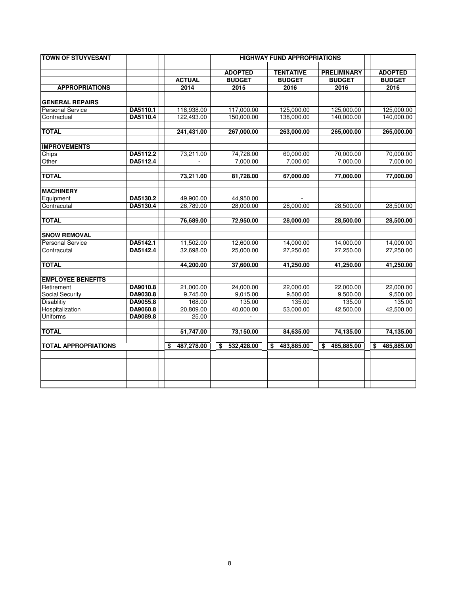| <b>TOWN OF STUYVESANT</b>   |          |                  |                  | <b>HIGHWAY FUND APPROPRIATIONS</b> |                    |                  |
|-----------------------------|----------|------------------|------------------|------------------------------------|--------------------|------------------|
|                             |          |                  | <b>ADOPTED</b>   | <b>TENTATIVE</b>                   | <b>PRELIMINARY</b> | <b>ADOPTED</b>   |
|                             |          | <b>ACTUAL</b>    | <b>BUDGET</b>    | <b>BUDGET</b>                      | <b>BUDGET</b>      | <b>BUDGET</b>    |
| <b>APPROPRIATIONS</b>       |          | 2014             | 2015             | 2016                               | 2016               | 2016             |
| <b>GENERAL REPAIRS</b>      |          |                  |                  |                                    |                    |                  |
| <b>Personal Service</b>     | DA5110.1 | 118,938.00       | 117,000.00       | 125,000.00                         | 125,000.00         | 125,000.00       |
| Contractual                 | DA5110.4 | 122,493.00       | 150,000.00       | 138,000.00                         | 140,000.00         | 140,000.00       |
| <b>TOTAL</b>                |          | 241.431.00       | 267,000.00       | 263,000.00                         | 265,000.00         | 265,000.00       |
| <b>IMPROVEMENTS</b>         |          |                  |                  |                                    |                    |                  |
| Chips                       | DA5112.2 | 73,211.00        | 74,728.00        | 60,000.00                          | 70,000.00          | 70,000.00        |
| Other                       | DA5112.4 |                  | 7,000.00         | 7,000.00                           | 7,000.00           | 7,000.00         |
|                             |          |                  |                  |                                    |                    |                  |
| <b>TOTAL</b>                |          | 73,211.00        | 81,728.00        | 67,000.00                          | 77,000.00          | 77,000.00        |
| <b>MACHINERY</b>            |          |                  |                  |                                    |                    |                  |
| Equipment                   | DA5130.2 | 49,900.00        | 44,950.00        |                                    |                    |                  |
| Contracutal                 | DA5130.4 | 26,789.00        | 28,000.00        | 28,000.00                          | 28,500.00          | 28,500.00        |
|                             |          |                  |                  |                                    |                    |                  |
| <b>TOTAL</b>                |          | 76,689.00        | 72,950.00        | 28,000.00                          | 28,500.00          | 28,500.00        |
| <b>SNOW REMOVAL</b>         |          |                  |                  |                                    |                    |                  |
| <b>Personal Service</b>     | DA5142.1 | 11,502.00        | 12,600.00        | 14,000.00                          | 14,000.00          | 14,000.00        |
| Contracutal                 | DA5142.4 | 32,698.00        | 25,000.00        | 27,250.00                          | 27,250.00          | 27,250.00        |
| <b>TOTAL</b>                |          | 44,200.00        | 37,600.00        | 41,250.00                          | 41,250.00          | 41,250.00        |
| <b>EMPLOYEE BENEFITS</b>    |          |                  |                  |                                    |                    |                  |
| Retirement                  | DA9010.8 | 21,000.00        | 24,000.00        | 22.000.00                          | 22,000.00          | 22,000.00        |
| <b>Social Security</b>      | DA9030.8 | 9,745.00         | 9,015.00         | 9,500.00                           | 9,500.00           | 9,500.00         |
| Disablitiy                  | DA9055.8 | 168.00           | 135.00           | 135.00                             | 135.00             | 135.00           |
| Hospitalization             | DA9060.8 | 20,809.00        | 40,000.00        | 53,000.00                          | 42,500.00          | 42,500.00        |
| Uniforms                    | DA9089.8 | 25.00            |                  |                                    |                    |                  |
|                             |          |                  |                  |                                    |                    |                  |
| <b>TOTAL</b>                |          | 51,747.00        | 73,150.00        | 84,635.00                          | 74,135.00          | 74,135.00        |
| <b>TOTAL APPROPRIATIONS</b> |          | 487,278.00<br>\$ | 532,428.00<br>\$ | \$<br>483,885.00                   | \$<br>485,885.00   | \$<br>485,885.00 |
|                             |          |                  |                  |                                    |                    |                  |
|                             |          |                  |                  |                                    |                    |                  |
|                             |          |                  |                  |                                    |                    |                  |
|                             |          |                  |                  |                                    |                    |                  |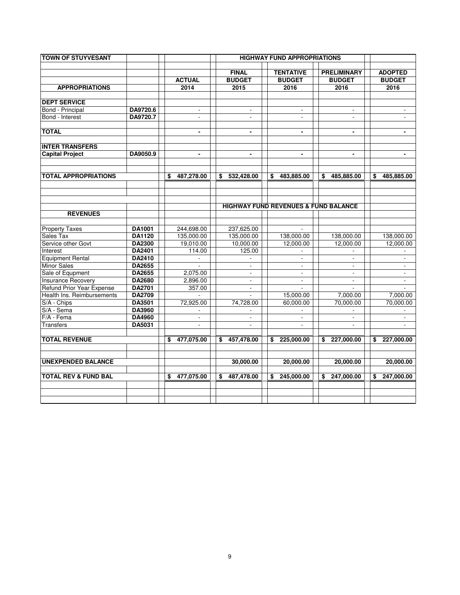| <b>TOWN OF STUYVESANT</b>       |                         |                         |                             | <b>HIGHWAY FUND APPROPRIATIONS</b>              |                          |                          |
|---------------------------------|-------------------------|-------------------------|-----------------------------|-------------------------------------------------|--------------------------|--------------------------|
|                                 |                         |                         | <b>FINAL</b>                | <b>TENTATIVE</b>                                | <b>PRELIMINARY</b>       | <b>ADOPTED</b>           |
|                                 |                         | <b>ACTUAL</b>           | <b>BUDGET</b>               | <b>BUDGET</b>                                   | <b>BUDGET</b>            | <b>BUDGET</b>            |
| <b>APPROPRIATIONS</b>           |                         | 2014                    | 2015                        | 2016                                            | 2016                     | 2016                     |
|                                 |                         |                         |                             |                                                 |                          |                          |
| <b>DEPT SERVICE</b>             |                         |                         |                             |                                                 |                          |                          |
| Bond - Principal                | DA9720.6                | $\blacksquare$          | $\sim$                      | $\mathbf{r}$                                    | $\overline{\phantom{a}}$ |                          |
| Bond - Interest                 | DA9720.7                | $\sim$                  | $\blacksquare$              | $\overline{\phantom{a}}$                        | $\overline{\phantom{a}}$ | $\overline{\phantom{a}}$ |
| <b>TOTAL</b>                    |                         | $\blacksquare$          | $\blacksquare$              | $\blacksquare$                                  | $\blacksquare$           |                          |
| <b>INTER TRANSFERS</b>          |                         |                         |                             |                                                 |                          |                          |
| <b>Capital Project</b>          | DA9050.9                | $\blacksquare$          | $\blacksquare$              | $\blacksquare$                                  | $\blacksquare$           | $\blacksquare$           |
|                                 |                         |                         |                             |                                                 |                          |                          |
| <b>TOTAL APPROPRIATIONS</b>     |                         | 487,278.00<br>\$        | 532,428.00<br>\$            | \$<br>483,885.00                                | \$<br>485,885.00         | \$<br>485,885.00         |
|                                 |                         |                         |                             |                                                 |                          |                          |
|                                 |                         |                         |                             | <b>HIGHWAY FUND REVENUES &amp; FUND BALANCE</b> |                          |                          |
| <b>REVENUES</b>                 |                         |                         |                             |                                                 |                          |                          |
|                                 |                         |                         |                             |                                                 |                          |                          |
| <b>Property Taxes</b>           | DA1001                  | 244.698.00              | 237.625.00                  |                                                 |                          |                          |
| Sales Tax<br>Service other Govt | DA1120<br><b>DA2300</b> | 135,000.00<br>19,010.00 | 135,000.00<br>10,000.00     | 138,000.00<br>12,000.00                         | 138,000.00<br>12,000.00  | 138,000.00<br>12,000.00  |
| Interest                        | DA2401                  | 114.00                  | 125.00                      |                                                 |                          |                          |
| <b>Equipment Rental</b>         | DA2410                  |                         |                             |                                                 |                          |                          |
| <b>Minor Sales</b>              | DA2655                  |                         | $\blacksquare$              | $\overline{\phantom{a}}$                        | $\overline{\phantom{a}}$ | $\blacksquare$           |
| Sale of Equpment                | DA2655                  | 2,075.00                | $\sim$                      | $\mathbf{r}$                                    | $\sim$                   | $\overline{\phantom{a}}$ |
| <b>Insurance Recovery</b>       | DA2680                  | 2,896.00                | $\mathcal{L}^{\mathcal{A}}$ | $\mathcal{L}^{\mathcal{A}}$                     | $\sim$                   | $\overline{\phantom{a}}$ |
| Refund Prior Year Expense       | <b>DA2701</b>           | 357.00                  | $\blacksquare$              | $\overline{\phantom{a}}$                        |                          | $\overline{a}$           |
| Health Ins. Reimbursements      | DA2709                  |                         |                             | 15,000.00                                       | 7.000.00                 | 7,000.00                 |
| S/A - Chips                     | DA3501                  | 72,925.00               | 74,728.00                   | 60,000.00                                       | 70,000.00                | 70,000.00                |
| S/A - Sema                      | DA3960                  |                         |                             |                                                 |                          |                          |
| F/A - Fema                      | DA4960                  | $\blacksquare$          | $\blacksquare$              | $\blacksquare$                                  | $\blacksquare$           | $\blacksquare$           |
| Transfers                       | DA5031                  | $\blacksquare$          | $\sim$                      | $\blacksquare$                                  | $\overline{\phantom{a}}$ | $\overline{\phantom{a}}$ |
| <b>TOTAL REVENUE</b>            |                         | 477,075.00<br>\$        | 457,478.00<br>\$            | 225,000.00<br>\$                                | \$<br>227,000.00         | 227,000.00<br>\$         |
| <b>UNEXPENDED BALANCE</b>       |                         |                         | 30,000.00                   | 20,000.00                                       | 20,000.00                | 20,000.00                |
| <b>TOTAL REV &amp; FUND BAL</b> |                         | 477,075.00<br>\$        | 487,478.00<br>\$            | 245,000.00<br>\$                                | 247,000.00<br>\$         | 247,000.00<br>\$         |
|                                 |                         |                         |                             |                                                 |                          |                          |
|                                 |                         |                         |                             |                                                 |                          |                          |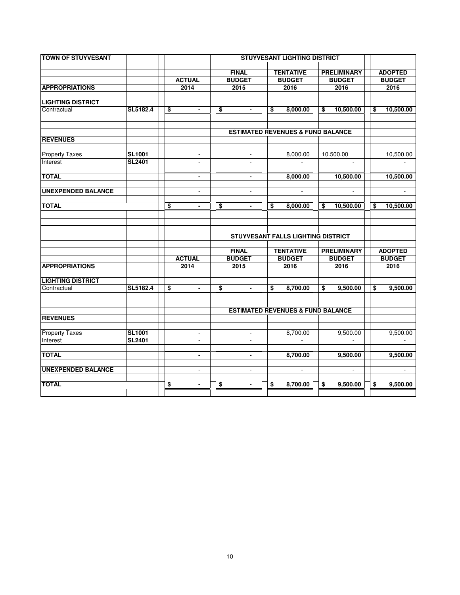| <b>TOWN OF STUYVESANT</b> |               |                          |                               | <b>STUYVESANT LIGHTING DISTRICT</b>          |                                     |                                 |
|---------------------------|---------------|--------------------------|-------------------------------|----------------------------------------------|-------------------------------------|---------------------------------|
|                           |               |                          |                               |                                              |                                     |                                 |
|                           |               | <b>ACTUAL</b>            | <b>FINAL</b><br><b>BUDGET</b> | <b>TENTATIVE</b><br><b>BUDGET</b>            | <b>PRELIMINARY</b><br><b>BUDGET</b> | <b>ADOPTED</b><br><b>BUDGET</b> |
| <b>APPROPRIATIONS</b>     |               | 2014                     | 2015                          | 2016                                         | 2016                                | 2016                            |
|                           |               |                          |                               |                                              |                                     |                                 |
| <b>LIGHTING DISTRICT</b>  |               |                          |                               |                                              |                                     |                                 |
| Contractual               | SL5182.4      | \$<br>$\blacksquare$     | \$<br>$\blacksquare$          | \$<br>8,000.00                               | \$<br>10,500.00                     | \$<br>10,500.00                 |
|                           |               |                          |                               |                                              |                                     |                                 |
|                           |               |                          |                               | <b>ESTIMATED REVENUES &amp; FUND BALANCE</b> |                                     |                                 |
| <b>REVENUES</b>           |               |                          |                               |                                              |                                     |                                 |
| <b>Property Taxes</b>     | <b>SL1001</b> | $\mathbf{r}$             | $\overline{\phantom{a}}$      | 8,000.00                                     | 10.500.00                           | 10,500.00                       |
| Interest                  | <b>SL2401</b> | $\overline{\phantom{a}}$ | $\overline{\phantom{a}}$      |                                              |                                     |                                 |
|                           |               |                          |                               |                                              |                                     |                                 |
| <b>TOTAL</b>              |               | $\blacksquare$           | $\blacksquare$                | 8,000.00                                     | 10,500.00                           | 10,500.00                       |
| <b>UNEXPENDED BALANCE</b> |               | $\overline{\phantom{a}}$ | $\overline{\phantom{a}}$      | $\overline{\phantom{a}}$                     | $\blacksquare$                      | $\blacksquare$                  |
| <b>TOTAL</b>              |               | \$<br>$\blacksquare$     | \$<br>$\blacksquare$          | \$<br>8,000.00                               | \$<br>10,500.00                     | \$<br>10,500.00                 |
|                           |               |                          |                               |                                              |                                     |                                 |
|                           |               |                          |                               |                                              |                                     |                                 |
|                           |               |                          |                               | <b>STUYVESANT FALLS LIGHTING DISTRICT</b>    |                                     |                                 |
|                           |               |                          |                               |                                              |                                     |                                 |
|                           |               |                          | <b>FINAL</b>                  | <b>TENTATIVE</b>                             | <b>PRELIMINARY</b>                  | <b>ADOPTED</b>                  |
|                           |               | <b>ACTUAL</b>            | <b>BUDGET</b>                 | <b>BUDGET</b>                                | <b>BUDGET</b>                       | <b>BUDGET</b>                   |
| <b>APPROPRIATIONS</b>     |               | 2014                     | 2015                          | 2016                                         | 2016                                | 2016                            |
| <b>LIGHTING DISTRICT</b>  |               |                          |                               |                                              |                                     |                                 |
| Contractual               | SL5182.4      | \$                       | \$                            | \$<br>8,700.00                               | \$<br>9,500.00                      | \$<br>9,500.00                  |
|                           |               |                          |                               |                                              |                                     |                                 |
|                           |               |                          |                               | <b>ESTIMATED REVENUES &amp; FUND BALANCE</b> |                                     |                                 |
| <b>REVENUES</b>           |               |                          |                               |                                              |                                     |                                 |
| <b>Property Taxes</b>     | <b>SL1001</b> | $\blacksquare$           | $\blacksquare$                | 8,700.00                                     | 9,500.00                            | 9,500.00                        |
| Interest                  | <b>SL2401</b> | $\sim$                   | $\mathbf{r}$                  | $\mathbf{r}$                                 | $\sim$                              | $\blacksquare$                  |
| <b>TOTAL</b>              |               | $\blacksquare$           | $\blacksquare$                | 8,700.00                                     | 9,500.00                            | 9,500.00                        |
| <b>UNEXPENDED BALANCE</b> |               | $\blacksquare$           | $\blacksquare$                | $\blacksquare$                               | $\blacksquare$                      |                                 |
|                           |               |                          |                               |                                              |                                     | $\blacksquare$                  |
| <b>TOTAL</b>              |               | \$<br>$\blacksquare$     | \$<br>$\blacksquare$          | \$<br>8,700.00                               | \$<br>9,500.00                      | \$<br>9,500.00                  |
|                           |               |                          |                               |                                              |                                     |                                 |